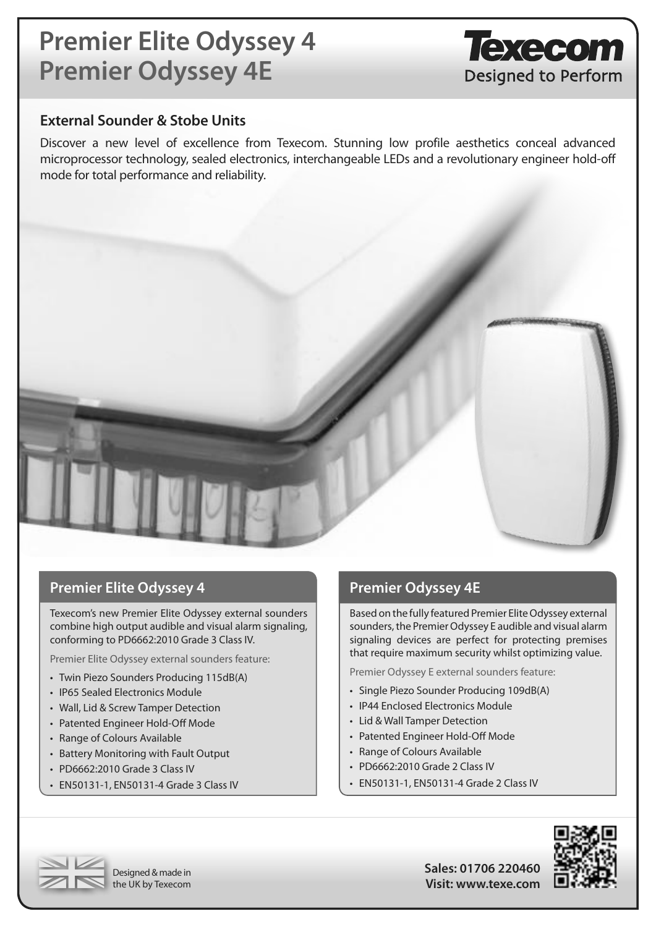# **Premier Elite Odyssey 4 Premier Odyssey 4E**

### **External Sounder & Stobe Units**

Discover a new level of excellence from Texecom. Stunning low profile aesthetics conceal advanced microprocessor technology, sealed electronics, interchangeable LEDs and a revolutionary engineer hold-off mode for total performance and reliability.



### **Premier Elite Odyssey 4 Premier Odyssey 4E**

Texecom's new Premier Elite Odyssey external sounders combine high output audible and visual alarm signaling, conforming to PD6662:2010 Grade 3 Class IV.

Premier Elite Odyssey external sounders feature:

- Twin Piezo Sounders Producing 115dB(A)
- IP65 Sealed Electronics Module
- Wall, Lid & Screw Tamper Detection
- • Patented Engineer Hold-Off Mode
- • Range of Colours Available
- • Battery Monitoring with Fault Output
- PD6662:2010 Grade 3 Class IV
- • EN50131-1, EN50131-4 Grade 3 Class IV

Based on the fully featured Premier Elite Odyssey external sounders, the Premier Odyssey E audible and visual alarm signaling devices are perfect for protecting premises that require maximum security whilst optimizing value.

Texecom

Designed to Perform

Premier Odyssey E external sounders feature:

- Single Piezo Sounder Producing 109dB(A)
- IP44 Enclosed Electronics Module
- Lid & Wall Tamper Detection
- Patented Engineer Hold-Off Mode
- • Range of Colours Available
- PD6662:2010 Grade 2 Class IV
- • EN50131-1, EN50131-4 Grade 2 Class IV





**Sales: 01706 220460 Visit: www.texe.com**